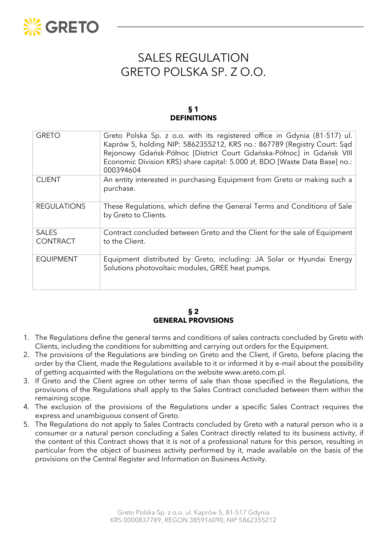

# SALES REGULATION GRETO POLSKA SP. Z O.O.

### **§ 1 DEFINITIONS**

| <b>GRETO</b>                    | Greto Polska Sp. z o.o. with its registered office in Gdynia (81-517) ul.<br>Kaprów 5, holding NIP: 5862355212, KRS no.: 867789 (Registry Court: Sad<br>Rejonowy Gdańsk-Północ [District Court Gdańska-Północ] in Gdańsk VIII<br>Economic Division KRS) share capital: 5.000 zł, BDO [Waste Data Base] no.:<br>000394604 |
|---------------------------------|--------------------------------------------------------------------------------------------------------------------------------------------------------------------------------------------------------------------------------------------------------------------------------------------------------------------------|
| <b>CLIENT</b>                   | An entity interested in purchasing Equipment from Greto or making such a<br>purchase.                                                                                                                                                                                                                                    |
| <b>REGULATIONS</b>              | These Regulations, which define the General Terms and Conditions of Sale<br>by Greto to Clients.                                                                                                                                                                                                                         |
| <b>SALES</b><br><b>CONTRACT</b> | Contract concluded between Greto and the Client for the sale of Equipment<br>to the Client.                                                                                                                                                                                                                              |
| <b>EQUIPMENT</b>                | Equipment distributed by Greto, including: JA Solar or Hyundai Energy<br>Solutions photovoltaic modules, GREE heat pumps.                                                                                                                                                                                                |

# **§ 2 GENERAL PROVISIONS**

- 1. The Regulations define the general terms and conditions of sales contracts concluded by Greto with Clients, including the conditions for submitting and carrying out orders for the Equipment.
- 2. The provisions of the Regulations are binding on Greto and the Client, if Greto, before placing the order by the Client, made the Regulations available to it or informed it by e-mail about the possibility of getting acquainted with the Regulations on the website www.areto.com.pl.
- 3. If Greto and the Client agree on other terms of sale than those specified in the Regulations, the provisions of the Regulations shall apply to the Sales Contract concluded between them within the remaining scope.
- 4. The exclusion of the provisions of the Regulations under a specific Sales Contract requires the express and unambiguous consent of Greto.
- 5. The Regulations do not apply to Sales Contracts concluded by Greto with a natural person who is a consumer or a natural person concluding a Sales Contract directly related to its business activity, if the content of this Contract shows that it is not of a professional nature for this person, resulting in particular from the object of business activity performed by it, made available on the basis of the provisions on the Central Register and Information on Business Activity.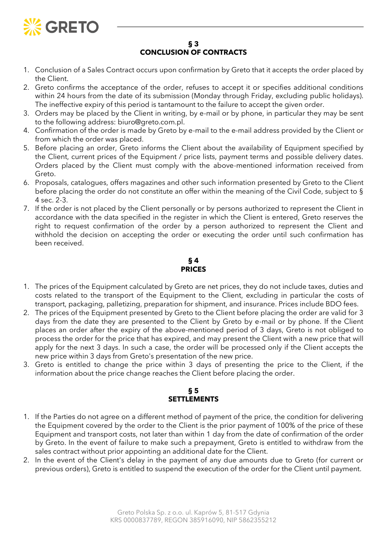

### **§ 3 CONCLUSION OF CONTRACTS**

- 1. Conclusion of a Sales Contract occurs upon confirmation by Greto that it accepts the order placed by the Client.
- 2. Greto confirms the acceptance of the order, refuses to accept it or specifies additional conditions within 24 hours from the date of its submission (Monday through Friday, excluding public holidays). The ineffective expiry of this period is tantamount to the failure to accept the given order.
- 3. Orders may be placed by the Client in writing, by e-mail or by phone, in particular they may be sent to the following address: biuro@greto.com.pl.
- 4. Confirmation of the order is made by Greto by e-mail to the e-mail address provided by the Client or from which the order was placed.
- 5. Before placing an order, Greto informs the Client about the availability of Equipment specified by the Client, current prices of the Equipment / price lists, payment terms and possible delivery dates. Orders placed by the Client must comply with the above-mentioned information received from Greto.
- 6. Proposals, catalogues, offers magazines and other such information presented by Greto to the Client before placing the order do not constitute an offer within the meaning of the Civil Code, subject to § 4 sec. 2-3.
- 7. If the order is not placed by the Client personally or by persons authorized to represent the Client in accordance with the data specified in the register in which the Client is entered, Greto reserves the right to request confirmation of the order by a person authorized to represent the Client and withhold the decision on accepting the order or executing the order until such confirmation has been received.

# **§ 4 PRICES**

- 1. The prices of the Equipment calculated by Greto are net prices, they do not include taxes, duties and costs related to the transport of the Equipment to the Client, excluding in particular the costs of transport, packaging, palletizing, preparation for shipment, and insurance. Prices include BDO fees.
- 2. The prices of the Equipment presented by Greto to the Client before placing the order are valid for 3 days from the date they are presented to the Client by Greto by e-mail or by phone. If the Client places an order after the expiry of the above-mentioned period of 3 days, Greto is not obliged to process the order for the price that has expired, and may present the Client with a new price that will apply for the next 3 days. In such a case, the order will be processed only if the Client accepts the new price within 3 days from Greto's presentation of the new price.
- 3. Greto is entitled to change the price within 3 days of presenting the price to the Client, if the information about the price change reaches the Client before placing the order.

# **§ 5 SETTLEMENTS**

- 1. If the Parties do not agree on a different method of payment of the price, the condition for delivering the Equipment covered by the order to the Client is the prior payment of 100% of the price of these Equipment and transport costs, not later than within 1 day from the date of confirmation of the order by Greto. In the event of failure to make such a prepayment, Greto is entitled to withdraw from the sales contract without prior appointing an additional date for the Client.
- 2. In the event of the Client's delay in the payment of any due amounts due to Greto (for current or previous orders), Greto is entitled to suspend the execution of the order for the Client until payment.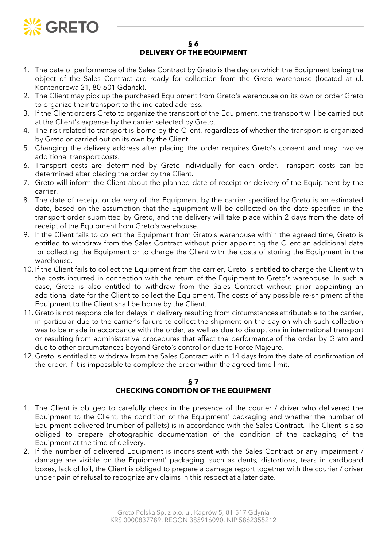

### **§ 6 DELIVERY OF THE EQUIPMENT**

- 1. The date of performance of the Sales Contract by Greto is the day on which the Equipment being the object of the Sales Contract are ready for collection from the Greto warehouse (located at ul. Kontenerowa 21, 80-601 Gdańsk).
- 2. The Client may pick up the purchased Equipment from Greto's warehouse on its own or order Greto to organize their transport to the indicated address.
- 3. If the Client orders Greto to organize the transport of the Equipment, the transport will be carried out at the Client's expense by the carrier selected by Greto.
- 4. The risk related to transport is borne by the Client, regardless of whether the transport is organized by Greto or carried out on its own by the Client.
- 5. Changing the delivery address after placing the order requires Greto's consent and may involve additional transport costs.
- 6. Transport costs are determined by Greto individually for each order. Transport costs can be determined after placing the order by the Client.
- 7. Greto will inform the Client about the planned date of receipt or delivery of the Equipment by the carrier.
- 8. The date of receipt or delivery of the Equipment by the carrier specified by Greto is an estimated date, based on the assumption that the Equipment will be collected on the date specified in the transport order submitted by Greto, and the delivery will take place within 2 days from the date of receipt of the Equipment from Greto's warehouse.
- 9. If the Client fails to collect the Equipment from Greto's warehouse within the agreed time, Greto is entitled to withdraw from the Sales Contract without prior appointing the Client an additional date for collecting the Equipment or to charge the Client with the costs of storing the Equipment in the warehouse.
- 10. If the Client fails to collect the Equipment from the carrier, Greto is entitled to charge the Client with the costs incurred in connection with the return of the Equipment to Greto's warehouse. In such a case, Greto is also entitled to withdraw from the Sales Contract without prior appointing an additional date for the Client to collect the Equipment. The costs of any possible re-shipment of the Equipment to the Client shall be borne by the Client.
- 11. Greto is not responsible for delays in delivery resulting from circumstances attributable to the carrier, in particular due to the carrier's failure to collect the shipment on the day on which such collection was to be made in accordance with the order, as well as due to disruptions in international transport or resulting from administrative procedures that affect the performance of the order by Greto and due to other circumstances beyond Greto's control or due to Force Majeure.
- 12. Greto is entitled to withdraw from the Sales Contract within 14 days from the date of confirmation of the order, if it is impossible to complete the order within the agreed time limit.

# **§ 7**

# **CHECKING CONDITION OF THE EQUIPMENT**

- 1. The Client is obliged to carefully check in the presence of the courier / driver who delivered the Equipment to the Client, the condition of the Equipment' packaging and whether the number of Equipment delivered (number of pallets) is in accordance with the Sales Contract. The Client is also obliged to prepare photographic documentation of the condition of the packaging of the Equipment at the time of delivery.
- 2. If the number of delivered Equipment is inconsistent with the Sales Contract or any impairment / damage are visible on the Equipment' packaging, such as dents, distortions, tears in cardboard boxes, lack of foil, the Client is obliged to prepare a damage report together with the courier / driver under pain of refusal to recognize any claims in this respect at a later date.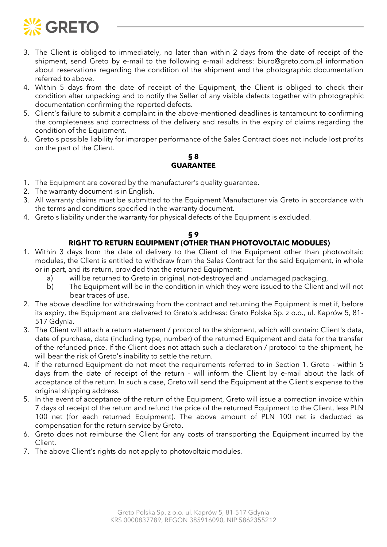

- 3. The Client is obliged to immediately, no later than within 2 days from the date of receipt of the shipment, send Greto by e-mail to the following e-mail address: biuro@greto.com.pl information about reservations regarding the condition of the shipment and the photographic documentation referred to above.
- 4. Within 5 days from the date of receipt of the Equipment, the Client is obliged to check their condition after unpacking and to notify the Seller of any visible defects together with photographic documentation confirming the reported defects.
- 5. Client's failure to submit a complaint in the above-mentioned deadlines is tantamount to confirming the completeness and correctness of the delivery and results in the expiry of claims regarding the condition of the Equipment.
- 6. Greto's possible liability for improper performance of the Sales Contract does not include lost profits on the part of the Client.

#### **§ 8 GUARANTEE**

- 1. The Equipment are covered by the manufacturer's quality guarantee.
- 2. The warranty document is in English.
- 3. All warranty claims must be submitted to the Equipment Manufacturer via Greto in accordance with the terms and conditions specified in the warranty document.
- 4. Greto's liability under the warranty for physical defects of the Equipment is excluded.

### **§ 9**

# **RIGHT TO RETURN EQUIPMENT (OTHER THAN PHOTOVOLTAIC MODULES)**

- 1. Within 3 days from the date of delivery to the Client of the Equipment other than photovoltaic modules, the Client is entitled to withdraw from the Sales Contract for the said Equipment, in whole or in part, and its return, provided that the returned Equipment:
	- a) will be returned to Greto in original, not-destroyed and undamaged packaging,
	- b) The Equipment will be in the condition in which they were issued to the Client and will not bear traces of use.
- 2. The above deadline for withdrawing from the contract and returning the Equipment is met if, before its expiry, the Equipment are delivered to Greto's address: Greto Polska Sp. z o.o., ul. Kaprów 5, 81- 517 Gdynia.
- 3. The Client will attach a return statement / protocol to the shipment, which will contain: Client's data, date of purchase, data (including type, number) of the returned Equipment and data for the transfer of the refunded price. If the Client does not attach such a declaration / protocol to the shipment, he will bear the risk of Greto's inability to settle the return.
- 4. If the returned Equipment do not meet the requirements referred to in Section 1, Greto within 5 days from the date of receipt of the return - will inform the Client by e-mail about the lack of acceptance of the return. In such a case, Greto will send the Equipment at the Client's expense to the original shipping address.
- 5. In the event of acceptance of the return of the Equipment, Greto will issue a correction invoice within 7 days of receipt of the return and refund the price of the returned Equipment to the Client, less PLN 100 net (for each returned Equipment). The above amount of PLN 100 net is deducted as compensation for the return service by Greto.
- 6. Greto does not reimburse the Client for any costs of transporting the Equipment incurred by the Client.
- 7. The above Client's rights do not apply to photovoltaic modules.